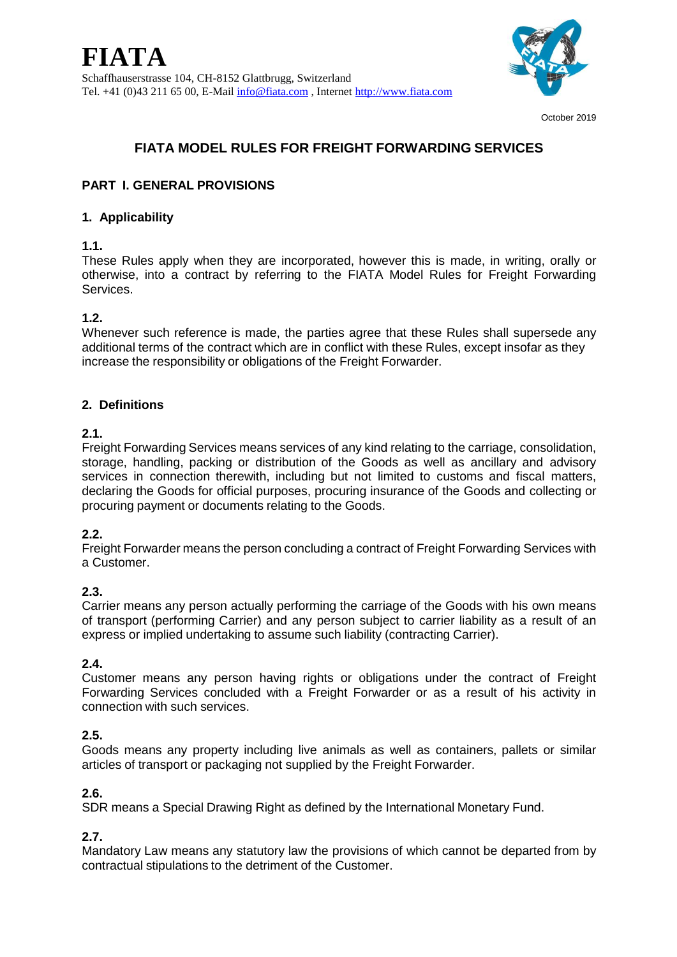

October 2019

# **FIATA MODEL RULES FOR FREIGHT FORWARDING SERVICES**

# **PART I. GENERAL PROVISIONS**

### **1. Applicability**

### **1.1.**

These Rules apply when they are incorporated, however this is made, in writing, orally or otherwise, into a contract by referring to the FIATA Model Rules for Freight Forwarding Services.

# **1.2.**

Whenever such reference is made, the parties agree that these Rules shall supersede any additional terms of the contract which are in conflict with these Rules, except insofar as they increase the responsibility or obligations of the Freight Forwarder.

# **2. Definitions**

### **2.1.**

Freight Forwarding Services means services of any kind relating to the carriage, consolidation, storage, handling, packing or distribution of the Goods as well as ancillary and advisory services in connection therewith, including but not limited to customs and fiscal matters, declaring the Goods for official purposes, procuring insurance of the Goods and collecting or procuring payment or documents relating to the Goods.

# **2.2.**

Freight Forwarder means the person concluding a contract of Freight Forwarding Services with a Customer.

# **2.3.**

Carrier means any person actually performing the carriage of the Goods with his own means of transport (performing Carrier) and any person subject to carrier liability as a result of an express or implied undertaking to assume such liability (contracting Carrier).

# **2.4.**

Customer means any person having rights or obligations under the contract of Freight Forwarding Services concluded with a Freight Forwarder or as a result of his activity in connection with such services.

# **2.5.**

Goods means any property including live animals as well as containers, pallets or similar articles of transport or packaging not supplied by the Freight Forwarder.

# **2.6.**

SDR means a Special Drawing Right as defined by the International Monetary Fund.

# **2.7.**

Mandatory Law means any statutory law the provisions of which cannot be departed from by contractual stipulations to the detriment of the Customer.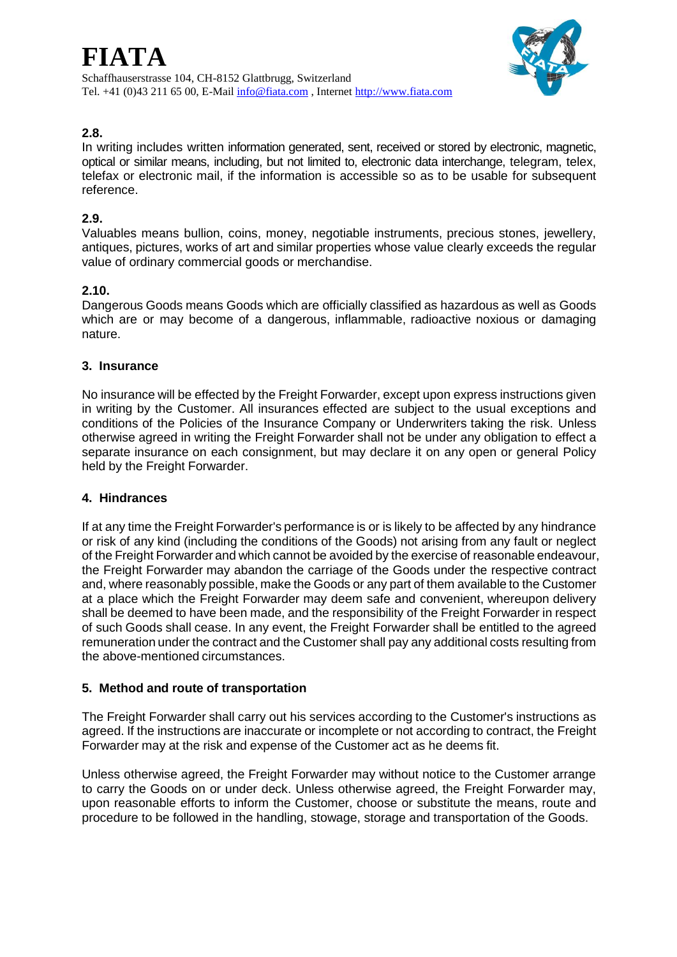

# **2.8.**

In writing includes written information generated, sent, received or stored by electronic, magnetic, optical or similar means, including, but not limited to, electronic data interchange, telegram, telex, telefax or electronic mail, if the information is accessible so as to be usable for subsequent reference.

### **2.9.**

Valuables means bullion, coins, money, negotiable instruments, precious stones, jewellery, antiques, pictures, works of art and similar properties whose value clearly exceeds the regular value of ordinary commercial goods or merchandise.

### **2.10.**

Dangerous Goods means Goods which are officially classified as hazardous as well as Goods which are or may become of a dangerous, inflammable, radioactive noxious or damaging nature.

### **3. Insurance**

No insurance will be effected by the Freight Forwarder, except upon express instructions given in writing by the Customer. All insurances effected are subject to the usual exceptions and conditions of the Policies of the Insurance Company or Underwriters taking the risk. Unless otherwise agreed in writing the Freight Forwarder shall not be under any obligation to effect a separate insurance on each consignment, but may declare it on any open or general Policy held by the Freight Forwarder.

### **4. Hindrances**

If at any time the Freight Forwarder's performance is or is likely to be affected by any hindrance or risk of any kind (including the conditions of the Goods) not arising from any fault or neglect of the Freight Forwarder and which cannot be avoided by the exercise of reasonable endeavour, the Freight Forwarder may abandon the carriage of the Goods under the respective contract and, where reasonably possible, make the Goods or any part of them available to the Customer at a place which the Freight Forwarder may deem safe and convenient, whereupon delivery shall be deemed to have been made, and the responsibility of the Freight Forwarder in respect of such Goods shall cease. In any event, the Freight Forwarder shall be entitled to the agreed remuneration under the contract and the Customer shall pay any additional costs resulting from the above-mentioned circumstances.

### **5. Method and route of transportation**

The Freight Forwarder shall carry out his services according to the Customer's instructions as agreed. If the instructions are inaccurate or incomplete or not according to contract, the Freight Forwarder may at the risk and expense of the Customer act as he deems fit.

Unless otherwise agreed, the Freight Forwarder may without notice to the Customer arrange to carry the Goods on or under deck. Unless otherwise agreed, the Freight Forwarder may, upon reasonable efforts to inform the Customer, choose or substitute the means, route and procedure to be followed in the handling, stowage, storage and transportation of the Goods.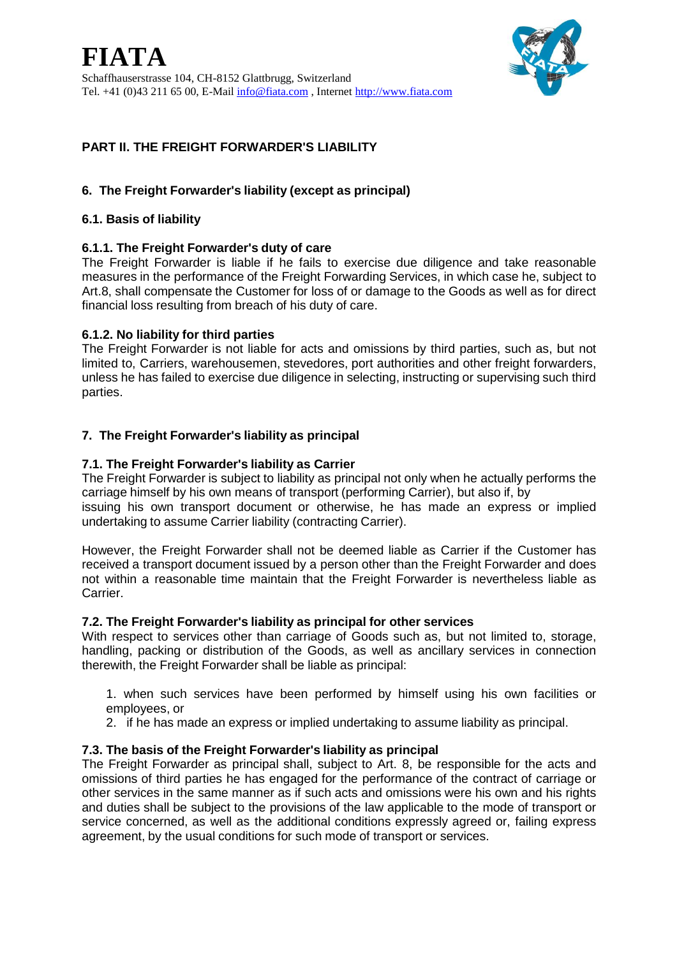

# **PART II. THE FREIGHT FORWARDER'S LIABILITY**

# **6. The Freight Forwarder's liability (except as principal)**

#### **6.1. Basis of liability**

### **6.1.1. The Freight Forwarder's duty of care**

The Freight Forwarder is liable if he fails to exercise due diligence and take reasonable measures in the performance of the Freight Forwarding Services, in which case he, subject to Art.8, shall compensate the Customer for loss of or damage to the Goods as well as for direct financial loss resulting from breach of his duty of care.

#### **6.1.2. No liability for third parties**

The Freight Forwarder is not liable for acts and omissions by third parties, such as, but not limited to, Carriers, warehousemen, stevedores, port authorities and other freight forwarders, unless he has failed to exercise due diligence in selecting, instructing or supervising such third parties.

### **7. The Freight Forwarder's liability as principal**

#### **7.1. The Freight Forwarder's liability as Carrier**

The Freight Forwarder is subject to liability as principal not only when he actually performs the carriage himself by his own means of transport (performing Carrier), but also if, by

issuing his own transport document or otherwise, he has made an express or implied undertaking to assume Carrier liability (contracting Carrier).

However, the Freight Forwarder shall not be deemed liable as Carrier if the Customer has received a transport document issued by a person other than the Freight Forwarder and does not within a reasonable time maintain that the Freight Forwarder is nevertheless liable as Carrier.

### **7.2. The Freight Forwarder's liability as principal for other services**

With respect to services other than carriage of Goods such as, but not limited to, storage, handling, packing or distribution of the Goods, as well as ancillary services in connection therewith, the Freight Forwarder shall be liable as principal:

1. when such services have been performed by himself using his own facilities or employees, or

2. if he has made an express or implied undertaking to assume liability as principal.

### **7.3. The basis of the Freight Forwarder's liability as principal**

The Freight Forwarder as principal shall, subject to Art. 8, be responsible for the acts and omissions of third parties he has engaged for the performance of the contract of carriage or other services in the same manner as if such acts and omissions were his own and his rights and duties shall be subject to the provisions of the law applicable to the mode of transport or service concerned, as well as the additional conditions expressly agreed or, failing express agreement, by the usual conditions for such mode of transport or services.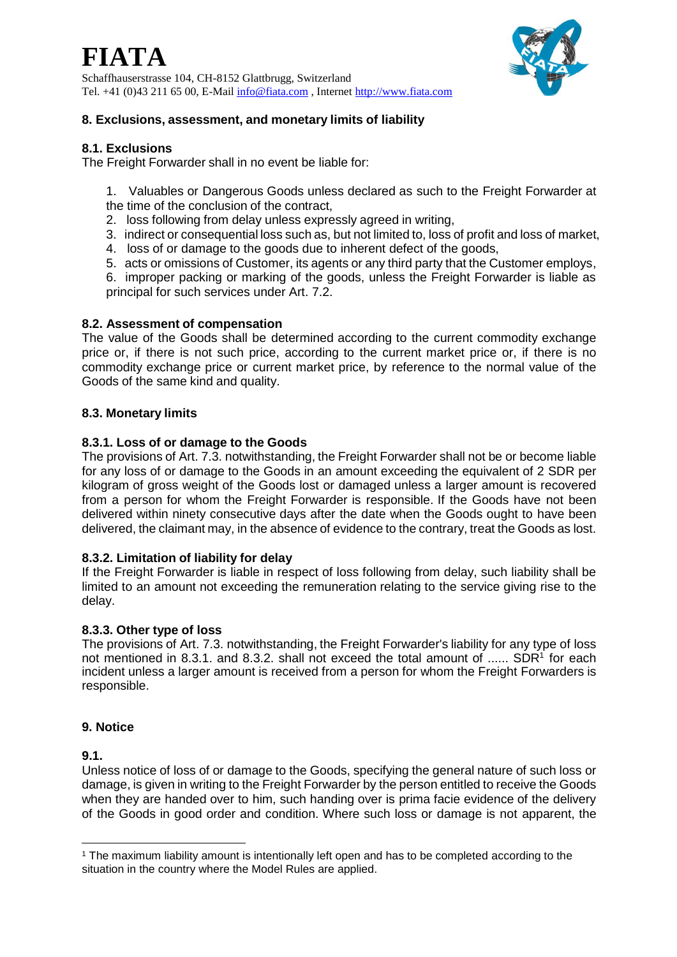

Schaffhauserstrasse 104, CH-8152 Glattbrugg, Switzerland Tel. +41 (0)43 211 65 00, E-Mail [info@fiata.com](mailto:info@fiata.com) , Internet [http://www.fiata.com](http://www.fiata.com/)



### **8. Exclusions, assessment, and monetary limits of liability**

### **8.1. Exclusions**

The Freight Forwarder shall in no event be liable for:

- 1. Valuables or Dangerous Goods unless declared as such to the Freight Forwarder at the time of the conclusion of the contract,
- 2. loss following from delay unless expressly agreed in writing,
- 3. indirect or consequential loss such as, but not limited to, loss of profit and loss of market,
- 4. loss of or damage to the goods due to inherent defect of the goods,
- 5. acts or omissions of Customer, its agents or any third party that the Customer employs,
- 6. improper packing or marking of the goods, unless the Freight Forwarder is liable as principal for such services under Art. 7.2.

#### **8.2. Assessment of compensation**

The value of the Goods shall be determined according to the current commodity exchange price or, if there is not such price, according to the current market price or, if there is no commodity exchange price or current market price, by reference to the normal value of the Goods of the same kind and quality.

#### **8.3. Monetary limits**

#### **8.3.1. Loss of or damage to the Goods**

The provisions of Art. 7.3. notwithstanding, the Freight Forwarder shall not be or become liable for any loss of or damage to the Goods in an amount exceeding the equivalent of 2 SDR per kilogram of gross weight of the Goods lost or damaged unless a larger amount is recovered from a person for whom the Freight Forwarder is responsible. If the Goods have not been delivered within ninety consecutive days after the date when the Goods ought to have been delivered, the claimant may, in the absence of evidence to the contrary, treat the Goods as lost.

#### **8.3.2. Limitation of liability for delay**

If the Freight Forwarder is liable in respect of loss following from delay, such liability shall be limited to an amount not exceeding the remuneration relating to the service giving rise to the delay.

### **8.3.3. Other type of loss**

The provisions of Art. 7.3. notwithstanding, the Freight Forwarder's liability for any type of loss not mentioned in 8.3.1. and 8.3.2. shall not exceed the total amount of ......  $SDR<sup>1</sup>$  for each incident unless a larger amount is received from a person for whom the Freight Forwarders is responsible.

#### **9. Notice**

### **9.1.**

1

Unless notice of loss of or damage to the Goods, specifying the general nature of such loss or damage, is given in writing to the Freight Forwarder by the person entitled to receive the Goods when they are handed over to him, such handing over is prima facie evidence of the delivery of the Goods in good order and condition. Where such loss or damage is not apparent, the

<sup>&</sup>lt;sup>1</sup> The maximum liability amount is intentionally left open and has to be completed according to the situation in the country where the Model Rules are applied.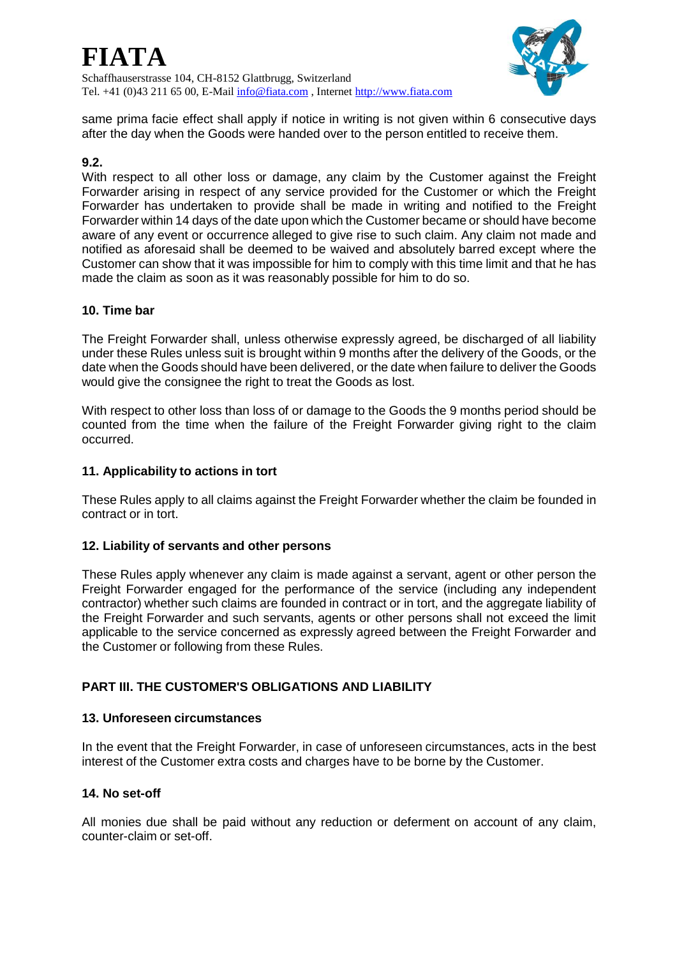

same prima facie effect shall apply if notice in writing is not given within 6 consecutive days after the day when the Goods were handed over to the person entitled to receive them.

### **9.2.**

With respect to all other loss or damage, any claim by the Customer against the Freight Forwarder arising in respect of any service provided for the Customer or which the Freight Forwarder has undertaken to provide shall be made in writing and notified to the Freight Forwarder within 14 days of the date upon which the Customer became or should have become aware of any event or occurrence alleged to give rise to such claim. Any claim not made and notified as aforesaid shall be deemed to be waived and absolutely barred except where the Customer can show that it was impossible for him to comply with this time limit and that he has made the claim as soon as it was reasonably possible for him to do so.

### **10. Time bar**

The Freight Forwarder shall, unless otherwise expressly agreed, be discharged of all liability under these Rules unless suit is brought within 9 months after the delivery of the Goods, or the date when the Goods should have been delivered, or the date when failure to deliver the Goods would give the consignee the right to treat the Goods as lost.

With respect to other loss than loss of or damage to the Goods the 9 months period should be counted from the time when the failure of the Freight Forwarder giving right to the claim occurred.

### **11. Applicability to actions in tort**

These Rules apply to all claims against the Freight Forwarder whether the claim be founded in contract or in tort.

### **12. Liability of servants and other persons**

These Rules apply whenever any claim is made against a servant, agent or other person the Freight Forwarder engaged for the performance of the service (including any independent contractor) whether such claims are founded in contract or in tort, and the aggregate liability of the Freight Forwarder and such servants, agents or other persons shall not exceed the limit applicable to the service concerned as expressly agreed between the Freight Forwarder and the Customer or following from these Rules.

# **PART III. THE CUSTOMER'S OBLIGATIONS AND LIABILITY**

### **13. Unforeseen circumstances**

In the event that the Freight Forwarder, in case of unforeseen circumstances, acts in the best interest of the Customer extra costs and charges have to be borne by the Customer.

### **14. No set-off**

All monies due shall be paid without any reduction or deferment on account of any claim, counter-claim or set-off.